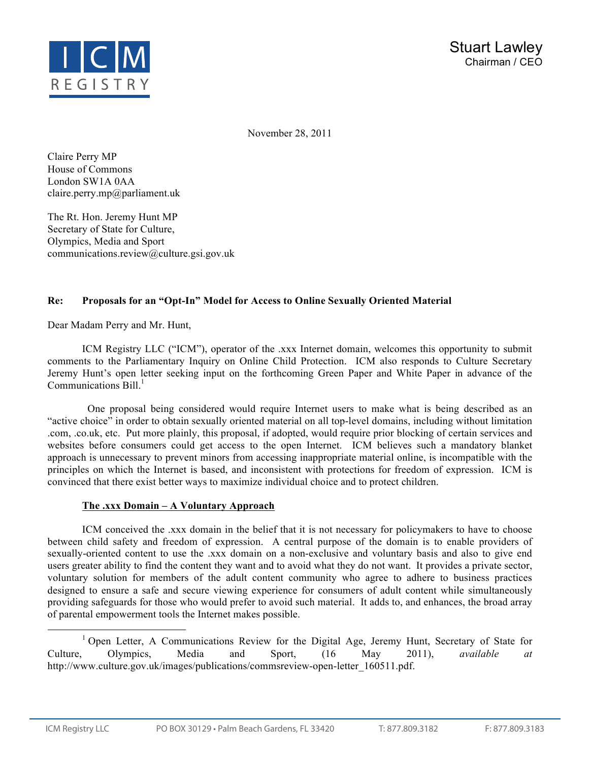

November 28, 2011

Claire Perry MP House of Commons London SW1A 0AA claire.perry.mp@parliament.uk

The Rt. Hon. Jeremy Hunt MP Secretary of State for Culture, Olympics, Media and Sport communications.review@culture.gsi.gov.uk

## **Re: Proposals for an "Opt-In" Model for Access to Online Sexually Oriented Material**

Dear Madam Perry and Mr. Hunt,

ICM Registry LLC ("ICM"), operator of the .xxx Internet domain, welcomes this opportunity to submit comments to the Parliamentary Inquiry on Online Child Protection. ICM also responds to Culture Secretary Jeremy Hunt's open letter seeking input on the forthcoming Green Paper and White Paper in advance of the Communications  $\text{Bill}^1$ .

 One proposal being considered would require Internet users to make what is being described as an "active choice" in order to obtain sexually oriented material on all top-level domains, including without limitation .com, .co.uk, etc. Put more plainly, this proposal, if adopted, would require prior blocking of certain services and websites before consumers could get access to the open Internet. ICM believes such a mandatory blanket approach is unnecessary to prevent minors from accessing inappropriate material online, is incompatible with the principles on which the Internet is based, and inconsistent with protections for freedom of expression. ICM is convinced that there exist better ways to maximize individual choice and to protect children.

## **The .xxx Domain – A Voluntary Approach**

ICM conceived the .xxx domain in the belief that it is not necessary for policymakers to have to choose between child safety and freedom of expression. A central purpose of the domain is to enable providers of sexually-oriented content to use the .xxx domain on a non-exclusive and voluntary basis and also to give end users greater ability to find the content they want and to avoid what they do not want. It provides a private sector, voluntary solution for members of the adult content community who agree to adhere to business practices designed to ensure a safe and secure viewing experience for consumers of adult content while simultaneously providing safeguards for those who would prefer to avoid such material. It adds to, and enhances, the broad array of parental empowerment tools the Internet makes possible.

<sup>1</sup> Open Letter, A Communications Review for the Digital Age, Jeremy Hunt, Secretary of State for Culture, Olympics, Media and Sport, (16 May 2011), *available at*  http://www.culture.gov.uk/images/publications/commsreview-open-letter\_160511.pdf.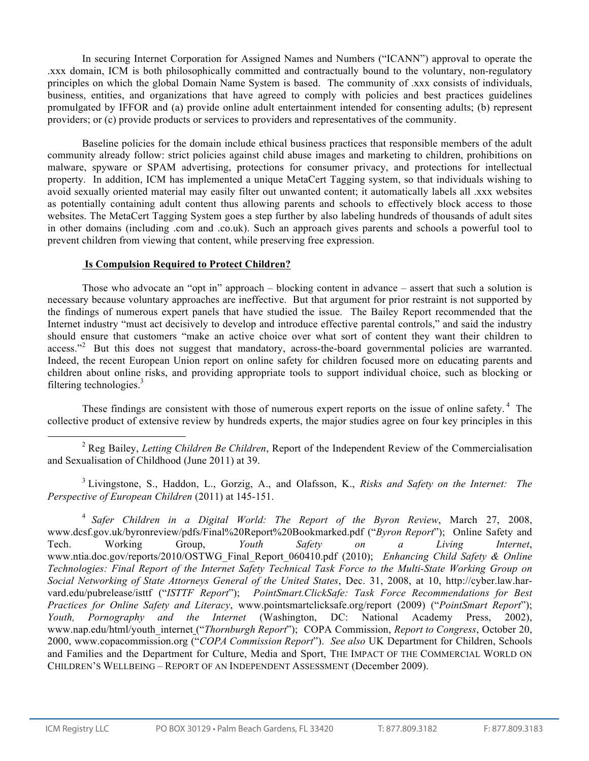In securing Internet Corporation for Assigned Names and Numbers ("ICANN") approval to operate the .xxx domain, ICM is both philosophically committed and contractually bound to the voluntary, non-regulatory principles on which the global Domain Name System is based. The community of .xxx consists of individuals, business, entities, and organizations that have agreed to comply with policies and best practices guidelines promulgated by IFFOR and (a) provide online adult entertainment intended for consenting adults; (b) represent providers; or (c) provide products or services to providers and representatives of the community.

Baseline policies for the domain include ethical business practices that responsible members of the adult community already follow: strict policies against child abuse images and marketing to children, prohibitions on malware, spyware or SPAM advertising, protections for consumer privacy, and protections for intellectual property. In addition, ICM has implemented a unique MetaCert Tagging system, so that individuals wishing to avoid sexually oriented material may easily filter out unwanted content; it automatically labels all .xxx websites as potentially containing adult content thus allowing parents and schools to effectively block access to those websites. The MetaCert Tagging System goes a step further by also labeling hundreds of thousands of adult sites in other domains (including .com and .co.uk). Such an approach gives parents and schools a powerful tool to prevent children from viewing that content, while preserving free expression.

## **Is Compulsion Required to Protect Children?**

Those who advocate an "opt in" approach – blocking content in advance – assert that such a solution is necessary because voluntary approaches are ineffective. But that argument for prior restraint is not supported by the findings of numerous expert panels that have studied the issue. The Bailey Report recommended that the Internet industry "must act decisively to develop and introduce effective parental controls," and said the industry should ensure that customers "make an active choice over what sort of content they want their children to access."<sup>2</sup> But this does not suggest that mandatory, across-the-board governmental policies are warranted. Indeed, the recent European Union report on online safety for children focused more on educating parents and children about online risks, and providing appropriate tools to support individual choice, such as blocking or filtering technologies. $3$ 

These findings are consistent with those of numerous expert reports on the issue of online safety.<sup>4</sup> The collective product of extensive review by hundreds experts, the major studies agree on four key principles in this

 2 Reg Bailey, *Letting Children Be Children*, Report of the Independent Review of the Commercialisation and Sexualisation of Childhood (June 2011) at 39.

<sup>3</sup> Livingstone, S., Haddon, L., Gorzig, A., and Olafsson, K., *Risks and Safety on the Internet: The Perspective of European Children* (2011) at 145-151.

<sup>4</sup> *Safer Children in a Digital World: The Report of the Byron Review*, March 27, 2008, www.dcsf.gov.uk/byronreview/pdfs/Final%20Report%20Bookmarked.pdf ("*Byron Report*"); Online Safety and Tech. Working Group, *Youth Safety on a Living Internet*, www.ntia.doc.gov/reports/2010/OSTWG\_Final\_Report\_060410.pdf (2010); *Enhancing Child Safety & Online Technologies: Final Report of the Internet Safety Technical Task Force to the Multi-State Working Group on Social Networking of State Attorneys General of the United States*, Dec. 31, 2008, at 10, http://cyber.law.harvard.edu/pubrelease/isttf ("*ISTTF Report*"); *PointSmart.ClickSafe: Task Force Recommendations for Best Practices for Online Safety and Literacy*, www.pointsmartclicksafe.org/report (2009) ("*PointSmart Report*"); *Youth, Pornography and the Internet* (Washington, DC: National Academy Press, 2002), www.nap.edu/html/youth\_internet ("*Thornburgh Report*"); COPA Commission, *Report to Congress*, October 20, 2000, www.copacommission.org ("*COPA Commission Report*"). *See also* UK Department for Children, Schools and Families and the Department for Culture, Media and Sport, THE IMPACT OF THE COMMERCIAL WORLD ON CHILDREN'S WELLBEING – REPORT OF AN INDEPENDENT ASSESSMENT (December 2009).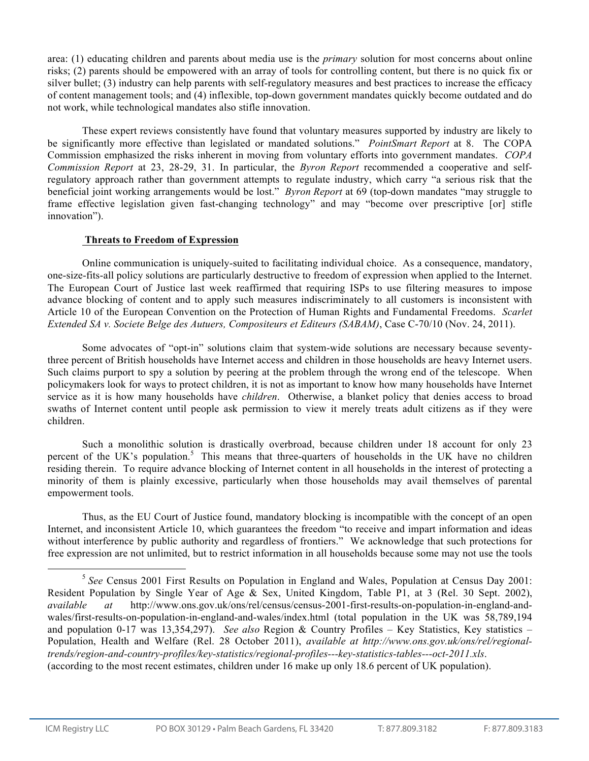area: (1) educating children and parents about media use is the *primary* solution for most concerns about online risks; (2) parents should be empowered with an array of tools for controlling content, but there is no quick fix or silver bullet; (3) industry can help parents with self-regulatory measures and best practices to increase the efficacy of content management tools; and (4) inflexible, top-down government mandates quickly become outdated and do not work, while technological mandates also stifle innovation.

These expert reviews consistently have found that voluntary measures supported by industry are likely to be significantly more effective than legislated or mandated solutions." *PointSmart Report* at 8. The COPA Commission emphasized the risks inherent in moving from voluntary efforts into government mandates. *COPA Commission Report* at 23, 28-29, 31. In particular, the *Byron Report* recommended a cooperative and selfregulatory approach rather than government attempts to regulate industry, which carry "a serious risk that the beneficial joint working arrangements would be lost." *Byron Report* at 69 (top-down mandates "may struggle to frame effective legislation given fast-changing technology" and may "become over prescriptive [or] stifle innovation").

## **Threats to Freedom of Expression**

Online communication is uniquely-suited to facilitating individual choice. As a consequence, mandatory, one-size-fits-all policy solutions are particularly destructive to freedom of expression when applied to the Internet. The European Court of Justice last week reaffirmed that requiring ISPs to use filtering measures to impose advance blocking of content and to apply such measures indiscriminately to all customers is inconsistent with Article 10 of the European Convention on the Protection of Human Rights and Fundamental Freedoms. *Scarlet Extended SA v. Societe Belge des Autuers, Compositeurs et Editeurs (SABAM)*, Case C-70/10 (Nov. 24, 2011).

Some advocates of "opt-in" solutions claim that system-wide solutions are necessary because seventythree percent of British households have Internet access and children in those households are heavy Internet users. Such claims purport to spy a solution by peering at the problem through the wrong end of the telescope. When policymakers look for ways to protect children, it is not as important to know how many households have Internet service as it is how many households have *children*. Otherwise, a blanket policy that denies access to broad swaths of Internet content until people ask permission to view it merely treats adult citizens as if they were children.

Such a monolithic solution is drastically overbroad, because children under 18 account for only 23 percent of the UK's population.<sup>5</sup> This means that three-quarters of households in the UK have no children residing therein. To require advance blocking of Internet content in all households in the interest of protecting a minority of them is plainly excessive, particularly when those households may avail themselves of parental empowerment tools.

Thus, as the EU Court of Justice found, mandatory blocking is incompatible with the concept of an open Internet, and inconsistent Article 10, which guarantees the freedom "to receive and impart information and ideas without interference by public authority and regardless of frontiers." We acknowledge that such protections for free expression are not unlimited, but to restrict information in all households because some may not use the tools

 <sup>5</sup> *See* Census 2001 First Results on Population in England and Wales, Population at Census Day 2001: Resident Population by Single Year of Age & Sex, United Kingdom, Table P1, at 3 (Rel. 30 Sept. 2002), *available at* http://www.ons.gov.uk/ons/rel/census/census-2001-first-results-on-population-in-england-andwales/first-results-on-population-in-england-and-wales/index.html (total population in the UK was 58,789,194 and population 0-17 was 13,354,297). *See also* Region & Country Profiles – Key Statistics, Key statistics – Population, Health and Welfare (Rel. 28 October 2011), *available at http://www.ons.gov.uk/ons/rel/regionaltrends/region-and-country-profiles/key-statistics/regional-profiles---key-statistics-tables---oct-2011.xls*. (according to the most recent estimates, children under 16 make up only 18.6 percent of UK population).